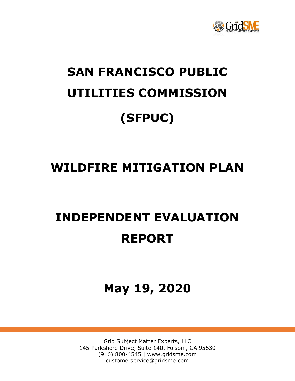

# **SAN FRANCISCO PUBLIC UTILITIES COMMISSION (SFPUC)**

# **WILDFIRE MITIGATION PLAN**

# **INDEPENDENT EVALUATION REPORT**

# **May 19, 2020**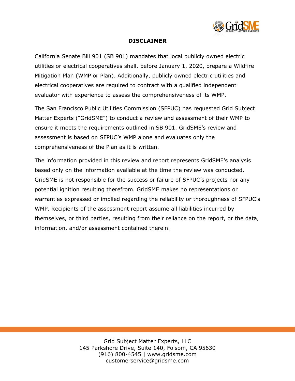

#### **DISCLAIMER**

California Senate Bill 901 (SB 901) mandates that local publicly owned electric utilities or electrical cooperatives shall, before January 1, 2020, prepare a Wildfire Mitigation Plan (WMP or Plan). Additionally, publicly owned electric utilities and electrical cooperatives are required to contract with a qualified independent evaluator with experience to assess the comprehensiveness of its WMP.

The San Francisco Public Utilities Commission (SFPUC) has requested Grid Subject Matter Experts ("GridSME") to conduct a review and assessment of their WMP to ensure it meets the requirements outlined in SB 901. GridSME's review and assessment is based on SFPUC's WMP alone and evaluates only the comprehensiveness of the Plan as it is written.

The information provided in this review and report represents GridSME's analysis based only on the information available at the time the review was conducted. GridSME is not responsible for the success or failure of SFPUC's projects nor any potential ignition resulting therefrom. GridSME makes no representations or warranties expressed or implied regarding the reliability or thoroughness of SFPUC's WMP. Recipients of the assessment report assume all liabilities incurred by themselves, or third parties, resulting from their reliance on the report, or the data, information, and/or assessment contained therein.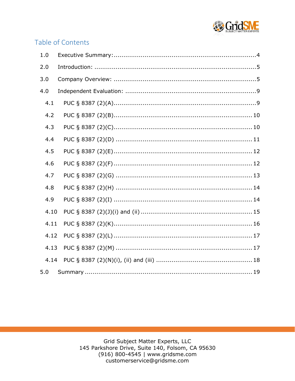

# Table of Contents

| 1.0  |  |
|------|--|
| 2.0  |  |
| 3.0  |  |
| 4.0  |  |
| 4.1  |  |
| 4.2  |  |
| 4.3  |  |
| 4.4  |  |
| 4.5  |  |
| 4.6  |  |
| 4.7  |  |
| 4.8  |  |
| 4.9  |  |
| 4.10 |  |
| 4.11 |  |
| 4.12 |  |
| 4.13 |  |
| 4.14 |  |
| 5.0  |  |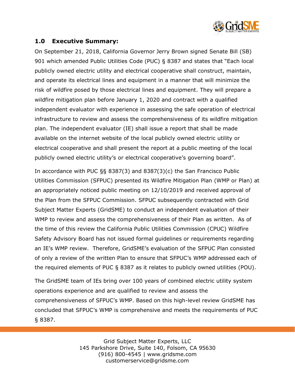

#### <span id="page-3-0"></span>**1.0 Executive Summary:**

On September 21, 2018, California Governor Jerry Brown signed Senate Bill (SB) 901 which amended Public Utilities Code (PUC) § 8387 and states that "Each local publicly owned electric utility and electrical cooperative shall construct, maintain, and operate its electrical lines and equipment in a manner that will minimize the risk of wildfire posed by those electrical lines and equipment. They will prepare a wildfire mitigation plan before January 1, 2020 and contract with a qualified independent evaluator with experience in assessing the safe operation of electrical infrastructure to review and assess the comprehensiveness of its wildfire mitigation plan. The independent evaluator (IE) shall issue a report that shall be made available on the internet website of the local publicly owned electric utility or electrical cooperative and shall present the report at a public meeting of the local publicly owned electric utility's or electrical cooperative's governing board".

In accordance with PUC §§ 8387(3) and 8387(3)(c) the San Francisco Public Utilities Commission (SFPUC) presented its Wildfire Mitigation Plan (WMP or Plan) at an appropriately noticed public meeting on 12/10/2019 and received approval of the Plan from the SFPUC Commission. SFPUC subsequently contracted with Grid Subject Matter Experts (GridSME) to conduct an independent evaluation of their WMP to review and assess the comprehensiveness of their Plan as written. As of the time of this review the California Public Utilities Commission (CPUC) Wildfire Safety Advisory Board has not issued formal guidelines or requirements regarding an IE's WMP review. Therefore, GridSME's evaluation of the SFPUC Plan consisted of only a review of the written Plan to ensure that SFPUC's WMP addressed each of the required elements of PUC § 8387 as it relates to publicly owned utilities (POU).

The GridSME team of IEs bring over 100 years of combined electric utility system operations experience and are qualified to review and assess the comprehensiveness of SFPUC's WMP. Based on this high-level review GridSME has concluded that SFPUC's WMP is comprehensive and meets the requirements of PUC § 8387.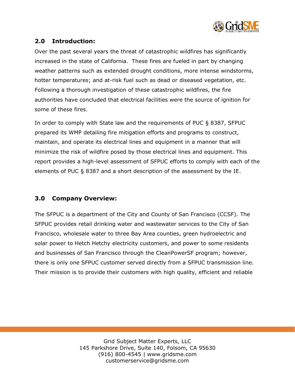

# <span id="page-4-0"></span>**2.0 Introduction:**

Over the past several years the threat of catastrophic wildfires has significantly increased in the state of California. These fires are fueled in part by changing weather patterns such as extended drought conditions, more intense windstorms, hotter temperatures; and at-risk fuel such as dead or diseased vegetation, etc. Following a thorough investigation of these catastrophic wildfires, the fire authorities have concluded that electrical facilities were the source of ignition for some of these fires.

In order to comply with State law and the requirements of PUC § 8387, SFPUC prepared its WMP detailing fire mitigation efforts and programs to construct, maintain, and operate its electrical lines and equipment in a manner that will minimize the risk of wildfire posed by those electrical lines and equipment. This report provides a high-level assessment of SFPUC efforts to comply with each of the elements of PUC § 8387 and a short description of the assessment by the IE.

#### <span id="page-4-1"></span>**3.0 Company Overview:**

The SFPUC is a department of the City and County of San Francisco (CCSF). The SFPUC provides retail drinking water and wastewater services to the City of San Francisco, wholesale water to three Bay Area counties, green hydroelectric and solar power to Hetch Hetchy electricity customers, and power to some residents and businesses of San Francisco through the CleanPowerSF program; however, there is only one SFPUC customer served directly from a SFPUC transmission line. Their mission is to provide their customers with high quality, efficient and reliable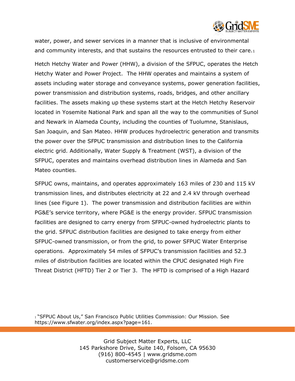

water, power, and sewer services in a manner that is inclusive of environmental and community interests, and that sustains the resources entrusted to their care.1

Hetch Hetchy Water and Power (HHW), a division of the SFPUC, operates the Hetch Hetchy Water and Power Project. The HHW operates and maintains a system of assets including water storage and conveyance systems, power generation facilities, power transmission and distribution systems, roads, bridges, and other ancillary facilities. The assets making up these systems start at the Hetch Hetchy Reservoir located in Yosemite National Park and span all the way to the communities of Sunol and Newark in Alameda County, including the counties of Tuolumne, Stanislaus, San Joaquin, and San Mateo. HHW produces hydroelectric generation and transmits the power over the SFPUC transmission and distribution lines to the California electric grid. Additionally, Water Supply & Treatment (WST), a division of the SFPUC, operates and maintains overhead distribution lines in Alameda and San Mateo counties.

SFPUC owns, maintains, and operates approximately 163 miles of 230 and 115 kV transmission lines, and distributes electricity at 22 and 2.4 kV through overhead lines (see Figure 1). The power transmission and distribution facilities are within PG&E's service territory, where PG&E is the energy provider. SFPUC transmission facilities are designed to carry energy from SFPUC-owned hydroelectric plants to the grid. SFPUC distribution facilities are designed to take energy from either SFPUC-owned transmission, or from the grid, to power SFPUC Water Enterprise operations. Approximately 54 miles of SFPUC's transmission facilities and 52.3 miles of distribution facilities are located within the CPUC designated High Fire Threat District (HFTD) Tier 2 or Tier 3. The HFTD is comprised of a High Hazard

1 "SFPUC About Us," San Francisco Public Utilities Commission: Our Mission. See https://www.sfwater.org/index.aspx?page=161.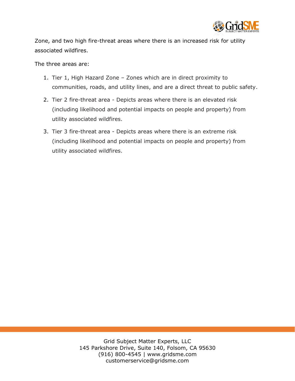

Zone, and two high fire-threat areas where there is an increased risk for utility associated wildfires.

The three areas are:

- 1. Tier 1, High Hazard Zone Zones which are in direct proximity to communities, roads, and utility lines, and are a direct threat to public safety.
- 2. Tier 2 fire-threat area Depicts areas where there is an elevated risk (including likelihood and potential impacts on people and property) from utility associated wildfires.
- 3. Tier 3 fire-threat area Depicts areas where there is an extreme risk (including likelihood and potential impacts on people and property) from utility associated wildfires.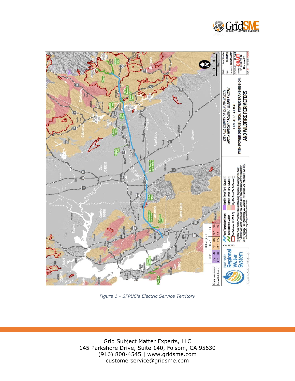

*Figure 1 - SFPUC's Electric Service Territory*

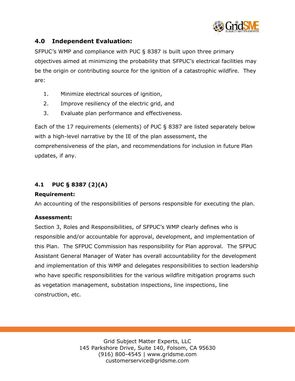

# <span id="page-8-0"></span>**4.0 Independent Evaluation:**

SFPUC's WMP and compliance with PUC § 8387 is built upon three primary objectives aimed at minimizing the probability that SFPUC's electrical facilities may be the origin or contributing source for the ignition of a catastrophic wildfire. They are:

- 1. Minimize electrical sources of ignition,
- 2. Improve resiliency of the electric grid, and
- 3. Evaluate plan performance and effectiveness.

Each of the 17 requirements (elements) of PUC § 8387 are listed separately below with a high-level narrative by the IE of the plan assessment, the comprehensiveness of the plan, and recommendations for inclusion in future Plan updates, if any.

# <span id="page-8-1"></span>**4.1 PUC § 8387 (2)(A)**

#### **Requirement:**

An accounting of the responsibilities of persons responsible for executing the plan.

#### **Assessment:**

Section 3, Roles and Responsibilities, of SFPUC's WMP clearly defines who is responsible and/or accountable for approval, development, and implementation of this Plan. The SFPUC Commission has responsibility for Plan approval. The SFPUC Assistant General Manager of Water has overall accountability for the development and implementation of this WMP and delegates responsibilities to section leadership who have specific responsibilities for the various wildfire mitigation programs such as vegetation management, substation inspections, line inspections, line construction, etc.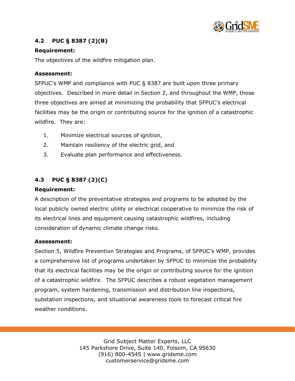

# <span id="page-9-0"></span>**4.2 PUC § 8387 (2)(B)**

#### **Requirement:**

The objectives of the wildfire mitigation plan.

#### **Assessment:**

SFPUC's WMP and compliance with PUC § 8387 are built upon three primary objectives. Described in more detail in Section 2, and throughout the WMP, those three objectives are aimed at minimizing the probability that SFPUC's electrical facilities may be the origin or contributing source for the ignition of a catastrophic wildfire. They are:

- 1. Minimize electrical sources of ignition,
- 2. Maintain resiliency of the electric grid, and
- 3. Evaluate plan performance and effectiveness.

# <span id="page-9-1"></span>**4.3 PUC § 8387 (2)(C)**

#### **Requirement:**

A description of the preventative strategies and programs to be adopted by the local publicly owned electric utility or electrical cooperative to minimize the risk of its electrical lines and equipment causing catastrophic wildfires, including consideration of dynamic climate change risks.

#### **Assessment:**

Section 5, Wildfire Prevention Strategies and Programs, of SFPUC's WMP, provides a comprehensive list of programs undertaken by SFPUC to minimize the probability that its electrical facilities may be the origin or contributing source for the ignition of a catastrophic wildfire. The SFPUC describes a robust vegetation management program, system hardening, transmission and distribution line inspections, substation inspections, and situational awareness tools to forecast critical fire weather conditions.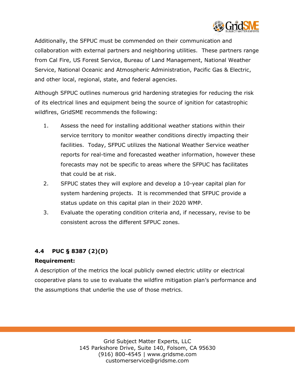

Additionally, the SFPUC must be commended on their communication and collaboration with external partners and neighboring utilities. These partners range from Cal Fire, US Forest Service, Bureau of Land Management, National Weather Service, National Oceanic and Atmospheric Administration, Pacific Gas & Electric, and other local, regional, state, and federal agencies.

Although SFPUC outlines numerous grid hardening strategies for reducing the risk of its electrical lines and equipment being the source of ignition for catastrophic wildfires, GridSME recommends the following:

- 1. Assess the need for installing additional weather stations within their service territory to monitor weather conditions directly impacting their facilities. Today, SFPUC utilizes the National Weather Service weather reports for real-time and forecasted weather information, however these forecasts may not be specific to areas where the SFPUC has facilitates that could be at risk.
- 2. SFPUC states they will explore and develop a 10-year capital plan for system hardening projects. It is recommended that SFPUC provide a status update on this capital plan in their 2020 WMP.
- 3. Evaluate the operating condition criteria and, if necessary, revise to be consistent across the different SFPUC zones.

#### <span id="page-10-0"></span>**4.4 PUC § 8387 (2)(D)**

#### **Requirement:**

A description of the metrics the local publicly owned electric utility or electrical cooperative plans to use to evaluate the wildfire mitigation plan's performance and the assumptions that underlie the use of those metrics.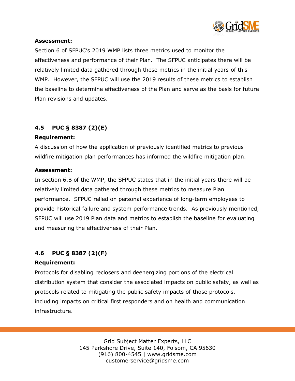

#### **Assessment:**

Section 6 of SFPUC's 2019 WMP lists three metrics used to monitor the effectiveness and performance of their Plan. The SFPUC anticipates there will be relatively limited data gathered through these metrics in the initial years of this WMP. However, the SFPUC will use the 2019 results of these metrics to establish the baseline to determine effectiveness of the Plan and serve as the basis for future Plan revisions and updates.

# <span id="page-11-0"></span>**4.5 PUC § 8387 (2)(E)**

#### **Requirement:**

A discussion of how the application of previously identified metrics to previous wildfire mitigation plan performances has informed the wildfire mitigation plan.

#### **Assessment:**

In section 6.B of the WMP, the SFPUC states that in the initial years there will be relatively limited data gathered through these metrics to measure Plan performance. SFPUC relied on personal experience of long-term employees to provide historical failure and system performance trends. As previously mentioned, SFPUC will use 2019 Plan data and metrics to establish the baseline for evaluating and measuring the effectiveness of their Plan.

#### <span id="page-11-1"></span>**4.6 PUC § 8387 (2)(F)**

#### **Requirement:**

Protocols for disabling reclosers and deenergizing portions of the electrical distribution system that consider the associated impacts on public safety, as well as protocols related to mitigating the public safety impacts of those protocols, including impacts on critical first responders and on health and communication infrastructure.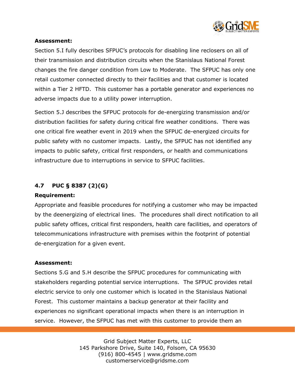

#### **Assessment:**

Section 5.I fully describes SFPUC's protocols for disabling line reclosers on all of their transmission and distribution circuits when the Stanislaus National Forest changes the fire danger condition from Low to Moderate. The SFPUC has only one retail customer connected directly to their facilities and that customer is located within a Tier 2 HFTD. This customer has a portable generator and experiences no adverse impacts due to a utility power interruption.

Section 5.J describes the SFPUC protocols for de-energizing transmission and/or distribution facilities for safety during critical fire weather conditions. There was one critical fire weather event in 2019 when the SFPUC de-energized circuits for public safety with no customer impacts. Lastly, the SFPUC has not identified any impacts to public safety, critical first responders, or health and communications infrastructure due to interruptions in service to SFPUC facilities.

#### <span id="page-12-0"></span>**4.7 PUC § 8387 (2)(G)**

#### **Requirement:**

Appropriate and feasible procedures for notifying a customer who may be impacted by the deenergizing of electrical lines. The procedures shall direct notification to all public safety offices, critical first responders, health care facilities, and operators of telecommunications infrastructure with premises within the footprint of potential de-energization for a given event.

#### **Assessment:**

Sections 5.G and 5.H describe the SFPUC procedures for communicating with stakeholders regarding potential service interruptions. The SFPUC provides retail electric service to only one customer which is located in the Stanislaus National Forest. This customer maintains a backup generator at their facility and experiences no significant operational impacts when there is an interruption in service. However, the SFPUC has met with this customer to provide them an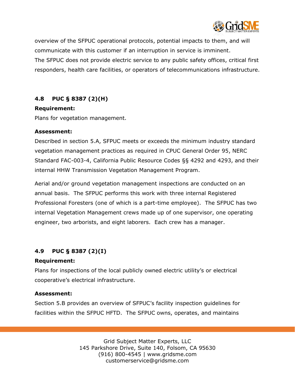

overview of the SFPUC operational protocols, potential impacts to them, and will communicate with this customer if an interruption in service is imminent. The SFPUC does not provide electric service to any public safety offices, critical first responders, health care facilities, or operators of telecommunications infrastructure.

#### <span id="page-13-0"></span>**4.8 PUC § 8387 (2)(H)**

#### **Requirement:**

Plans for vegetation management.

#### **Assessment:**

Described in section 5.A, SFPUC meets or exceeds the minimum industry standard vegetation management practices as required in CPUC General Order 95, NERC Standard FAC-003-4, California Public Resource Codes §§ 4292 and 4293, and their internal HHW Transmission Vegetation Management Program.

Aerial and/or ground vegetation management inspections are conducted on an annual basis. The SFPUC performs this work with three internal Registered Professional Foresters (one of which is a part-time employee). The SFPUC has two internal Vegetation Management crews made up of one supervisor, one operating engineer, two arborists, and eight laborers. Each crew has a manager.

# <span id="page-13-1"></span>**4.9 PUC § 8387 (2)(I)**

#### **Requirement:**

Plans for inspections of the local publicly owned electric utility's or electrical cooperative's electrical infrastructure.

#### **Assessment:**

Section 5.B provides an overview of SFPUC's facility inspection guidelines for facilities within the SFPUC HFTD. The SFPUC owns, operates, and maintains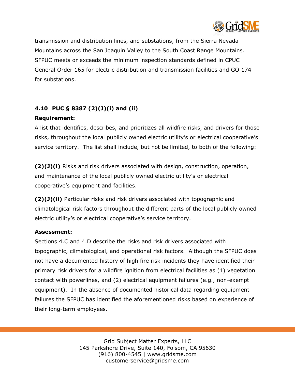

transmission and distribution lines, and substations, from the Sierra Nevada Mountains across the San Joaquin Valley to the South Coast Range Mountains. SFPUC meets or exceeds the minimum inspection standards defined in CPUC General Order 165 for electric distribution and transmission facilities and GO 174 for substations.

# <span id="page-14-0"></span>**4.10 PUC § 8387 (2)(J)(i) and (ii)**

#### **Requirement:**

A list that identifies, describes, and prioritizes all wildfire risks, and drivers for those risks, throughout the local publicly owned electric utility's or electrical cooperative's service territory. The list shall include, but not be limited, to both of the following:

**(2)(J)(i)** Risks and risk drivers associated with design, construction, operation, and maintenance of the local publicly owned electric utility's or electrical cooperative's equipment and facilities.

**(2)(J)(ii)** Particular risks and risk drivers associated with topographic and climatological risk factors throughout the different parts of the local publicly owned electric utility's or electrical cooperative's service territory.

#### **Assessment:**

Sections 4.C and 4.D describe the risks and risk drivers associated with topographic, climatological, and operational risk factors. Although the SFPUC does not have a documented history of high fire risk incidents they have identified their primary risk drivers for a wildfire ignition from electrical facilities as (1) vegetation contact with powerlines, and (2) electrical equipment failures (e.g., non-exempt equipment). In the absence of documented historical data regarding equipment failures the SFPUC has identified the aforementioned risks based on experience of their long-term employees.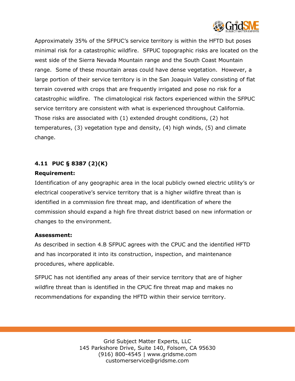

Approximately 35% of the SFPUC's service territory is within the HFTD but poses minimal risk for a catastrophic wildfire. SFPUC topographic risks are located on the west side of the Sierra Nevada Mountain range and the South Coast Mountain range. Some of these mountain areas could have dense vegetation. However, a large portion of their service territory is in the San Joaquin Valley consisting of flat terrain covered with crops that are frequently irrigated and pose no risk for a catastrophic wildfire. The climatological risk factors experienced within the SFPUC service territory are consistent with what is experienced throughout California. Those risks are associated with (1) extended drought conditions, (2) hot temperatures, (3) vegetation type and density, (4) high winds, (5) and climate change.

# <span id="page-15-0"></span>**4.11 PUC § 8387 (2)(K)**

#### **Requirement:**

Identification of any geographic area in the local publicly owned electric utility's or electrical cooperative's service territory that is a higher wildfire threat than is identified in a commission fire threat map, and identification of where the commission should expand a high fire threat district based on new information or changes to the environment.

#### **Assessment:**

As described in section 4.B SFPUC agrees with the CPUC and the identified HFTD and has incorporated it into its construction, inspection, and maintenance procedures, where applicable.

<span id="page-15-1"></span>SFPUC has not identified any areas of their service territory that are of higher wildfire threat than is identified in the CPUC fire threat map and makes no recommendations for expanding the HFTD within their service territory.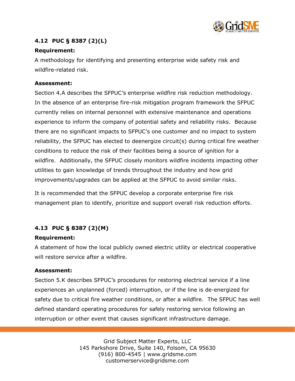

# **4.12 PUC § 8387 (2)(L)**

#### **Requirement:**

A methodology for identifying and presenting enterprise wide safety risk and wildfire-related risk.

#### **Assessment:**

Section 4.A describes the SFPUC's enterprise wildfire risk reduction methodology. In the absence of an enterprise fire-risk mitigation program framework the SFPUC currently relies on internal personnel with extensive maintenance and operations experience to inform the company of potential safety and reliability risks. Because there are no significant impacts to SFPUC's one customer and no impact to system reliability, the SFPUC has elected to deenergize circuit(s) during critical fire weather conditions to reduce the risk of their facilities being a source of ignition for a wildfire. Additionally, the SFPUC closely monitors wildfire incidents impacting other utilities to gain knowledge of trends throughout the industry and how grid improvements/upgrades can be applied at the SFPUC to avoid similar risks.

It is recommended that the SFPUC develop a corporate enterprise fire risk management plan to identify, prioritize and support overall risk reduction efforts.

# <span id="page-16-0"></span>**4.13 PUC § 8387 (2)(M)**

#### **Requirement:**

A statement of how the local publicly owned electric utility or electrical cooperative will restore service after a wildfire.

#### **Assessment:**

Section 5.K describes SFPUC's procedures for restoring electrical service if a line experiences an unplanned (forced) interruption, or if the line is de-energized for safety due to critical fire weather conditions, or after a wildfire. The SFPUC has well defined standard operating procedures for safely restoring service following an interruption or other event that causes significant infrastructure damage.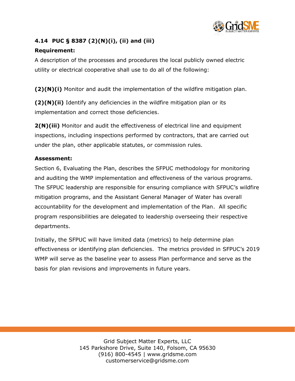

# <span id="page-17-0"></span>**4.14 PUC § 8387 (2)(N)(i), (ii) and (iii)**

#### **Requirement:**

A description of the processes and procedures the local publicly owned electric utility or electrical cooperative shall use to do all of the following:

**(2)(N)(i)** Monitor and audit the implementation of the wildfire mitigation plan.

**(2)(N)(ii)** Identify any deficiencies in the wildfire mitigation plan or its implementation and correct those deficiencies.

**2(N)(iii)** Monitor and audit the effectiveness of electrical line and equipment inspections, including inspections performed by contractors, that are carried out under the plan, other applicable statutes, or commission rules.

#### **Assessment:**

Section 6, Evaluating the Plan, describes the SFPUC methodology for monitoring and auditing the WMP implementation and effectiveness of the various programs. The SFPUC leadership are responsible for ensuring compliance with SFPUC's wildfire mitigation programs, and the Assistant General Manager of Water has overall accountability for the development and implementation of the Plan. All specific program responsibilities are delegated to leadership overseeing their respective departments.

<span id="page-17-1"></span>Initially, the SFPUC will have limited data (metrics) to help determine plan effectiveness or identifying plan deficiencies. The metrics provided in SFPUC's 2019 WMP will serve as the baseline year to assess Plan performance and serve as the basis for plan revisions and improvements in future years.